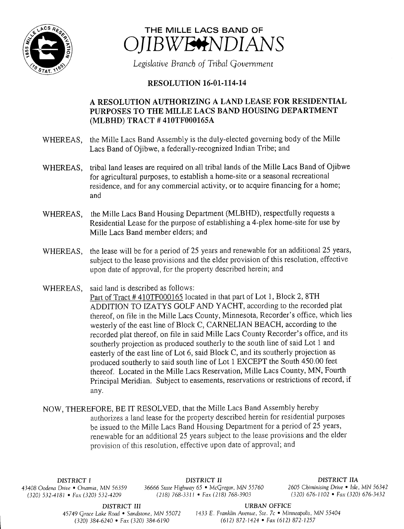



Legislative Branch of Tribal Government

## **RESOLUTION 16-01-114-14**

## A RESOLUTION AUTHORIZING A LAND LEASE FOR RESIDENTIAL PURPOSES TO THE MILLE LACS BAND HOUSING DEPARTMENT MLBHD) TRACT # 410TF000165A

- WHEREAS, the Mille Lacs Band Assembly is the duly-elected governing body of the Mille Lacs Band of Ojibwe, a federally-recognized Indian Tribe; and
- WHEREAS, tribal land leases are required on all tribal lands of the Mille Lacs Band of Ojibwe for agricultural purposes, to establish a home- site or a seasonal recreational residence, and for any commercial activity, or to acquire financing for <sup>a</sup> home; and
- WHEREAS, the Mille Lacs Band Housing Department (MLBHD), respectfully requests <sup>a</sup> Residential Lease for the purpose of establishing a 4-plex home-site for use by Mille Lacs Band member elders; and
- WHEREAS, the lease will be for <sup>a</sup> period of 25 years and renewable for an additional 25 years, subject to the lease provisions and the elder provision of this resolution, effective upon date of approval, for the property described herein; and

WHEREAS, said land is described as follows:

Part of Tract #410TF000165 located in that part of Lot 1, Block 2, 8TH ADDITION TO IZATYS GOLF AND YACHT, according to the recorded plat thereof, on file in the Mille Lacs County, Minnesota, Recorder' <sup>s</sup> office, which lies westerly of the east line of Block C, CARNELIAN BEACH, according to the recorded plat thereof, on file in said Mille Lacs County Recorder's office, and its southerly projection as produced southerly to the south line of said Lot <sup>1</sup> and easterly of the east line of Lot 6, said Block C, and its southerly projection as produced southerly to said south line of Lot <sup>1</sup> EXCEPT the South 450.00 feet thereof. Located in the Mille Lacs Reservation, Mille Lacs County, MN, Fourth Principal Meridian. Subject to easements, reservations or restrictions of record, if any.

NOW, THEREFORE, BE IT RESOLVED, that the Mille Lacs Band Assembly hereby authorizes <sup>a</sup> land lease for the property described herein for residential purposes be issued to the Mille Lacs Band Housing Department for <sup>a</sup> period of 25 years, renewable for an additional 25 years subject to the lease provisions and the elder provision of this resolution, effective upon date of approval; and

 $(320)$  532-4181 • Fax(320) 532-4209

DISTRICT I **DISTRICT II**<br>Drive • Onamia. MN 56359 36666 State Highway 65 • McGregor, MN 55760 2605 Chiminising Drive • Isle, MN 56342 43408 Oodena Drive • Onamia, MN 56359 36666 State Highway 65 • McGregor, MN 55760 2605 Chiminising Drive • Isle, MN 56342<br>(320) 576-3420 - 582, 382, 4209 3768-3311 - 70 (218) 768-3311 - 50 (218) 768-3903 (320) 676-1102 - 5

DISTRICT III URBAN OFFICE

45749 Grace Lake Road • Sandstone, MN 55072 1433 E. Franklin Avenue, Ste. 7c • Minneapolis, MN 55404 320) 384- 6240 • Fax( 320) 384- 6190 612) 872- 1424 • Fax( 612) 872- 1257